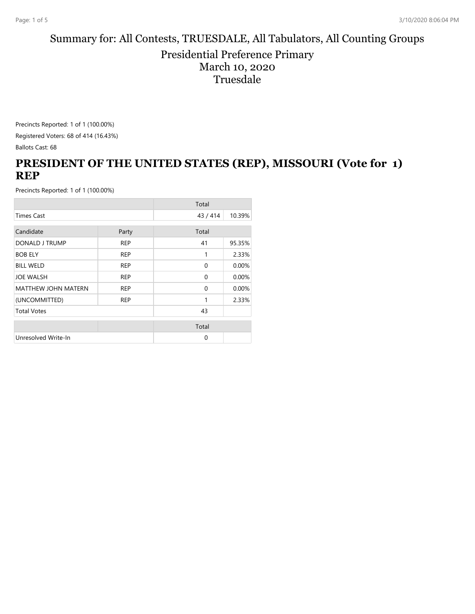#### Summary for: All Contests, TRUESDALE, All Tabulators, All Counting Groups Presidential Preference Primary March 10, 2020 Truesdale

Precincts Reported: 1 of 1 (100.00%) Registered Voters: 68 of 414 (16.43%) Ballots Cast: 68

# **PRESIDENT OF THE UNITED STATES (REP), MISSOURI (Vote for 1) REP**

|                            |            | Total    |        |
|----------------------------|------------|----------|--------|
| <b>Times Cast</b>          |            | 43/414   | 10.39% |
| Candidate                  | Party      | Total    |        |
|                            |            |          |        |
| DONALD J TRUMP             | <b>REP</b> | 41       | 95.35% |
| <b>BOB ELY</b>             | <b>REP</b> | 1        | 2.33%  |
| <b>BILL WELD</b>           | <b>REP</b> | $\Omega$ | 0.00%  |
| <b>JOE WALSH</b>           | <b>REP</b> | $\Omega$ | 0.00%  |
| <b>MATTHEW JOHN MATERN</b> | <b>REP</b> | $\Omega$ | 0.00%  |
| (UNCOMMITTED)              | <b>REP</b> | 1        | 2.33%  |
| <b>Total Votes</b>         |            | 43       |        |
|                            |            | Total    |        |
|                            |            |          |        |
| Unresolved Write-In        |            | $\Omega$ |        |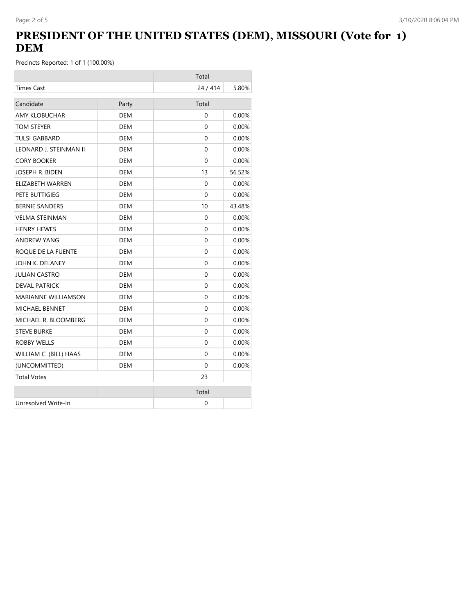# **PRESIDENT OF THE UNITED STATES (DEM), MISSOURI (Vote for 1) DEM**

|                            |            | Total        |          |
|----------------------------|------------|--------------|----------|
| <b>Times Cast</b>          |            | 24 / 414     | 5.80%    |
| Candidate                  | Party      | Total        |          |
| <b>AMY KLOBUCHAR</b>       | <b>DEM</b> | $\Omega$     | 0.00%    |
| TOM STEYER                 | DEM        | 0            | 0.00%    |
| <b>TULSI GABBARD</b>       | <b>DEM</b> | $\Omega$     | 0.00%    |
| LEONARD J. STEINMAN II     | DEM        | 0            | $0.00\%$ |
| <b>CORY BOOKER</b>         | <b>DEM</b> | $\Omega$     | 0.00%    |
| JOSEPH R. BIDEN            | <b>DEM</b> | 13           | 56.52%   |
| ELIZABETH WARREN           | DEM        | 0            | $0.00\%$ |
| PETE BUTTIGIEG             | <b>DEM</b> | 0            | 0.00%    |
| <b>BERNIE SANDERS</b>      | DEM        | 10           | 43.48%   |
| <b>VELMA STEINMAN</b>      | <b>DEM</b> | $\mathbf{0}$ | $0.00\%$ |
| <b>HENRY HEWES</b>         | DEM        | 0            | $0.00\%$ |
| <b>ANDREW YANG</b>         | DEM        | 0            | 0.00%    |
| ROQUE DE LA FUENTE         | DEM        | 0            | $0.00\%$ |
| JOHN K. DELANEY            | <b>DEM</b> | 0            | 0.00%    |
| <b>JULIAN CASTRO</b>       | <b>DEM</b> | 0            | 0.00%    |
| <b>DEVAL PATRICK</b>       | <b>DEM</b> | $\Omega$     | 0.00%    |
| <b>MARIANNE WILLIAMSON</b> | <b>DEM</b> | $\Omega$     | 0.00%    |
| <b>MICHAEL BENNET</b>      | DEM        | 0            | 0.00%    |
| MICHAEL R. BLOOMBERG       | DEM        | 0            | $0.00\%$ |
| <b>STEVE BURKE</b>         | DEM        | 0            | $0.00\%$ |
| <b>ROBBY WELLS</b>         | <b>DEM</b> | 0            | 0.00%    |
| WILLIAM C. (BILL) HAAS     | <b>DEM</b> | 0            | $0.00\%$ |
| (UNCOMMITTED)              | <b>DEM</b> | 0            | 0.00%    |
| <b>Total Votes</b>         |            | 23           |          |
|                            |            | Total        |          |
| Unresolved Write-In        |            | 0            |          |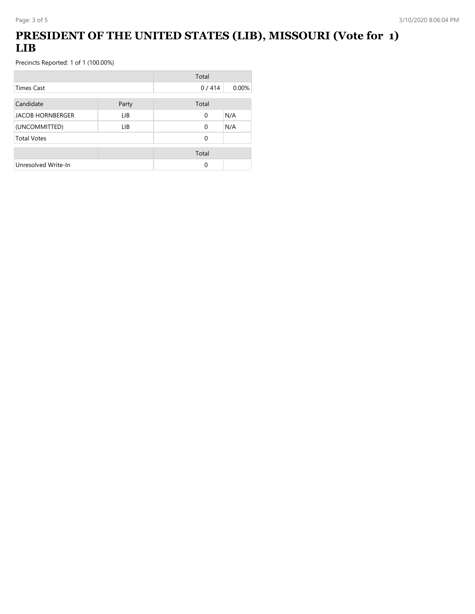# **PRESIDENT OF THE UNITED STATES (LIB), MISSOURI (Vote for 1) LIB**

|                         |       | Total    |       |
|-------------------------|-------|----------|-------|
| <b>Times Cast</b>       |       | 0/414    | 0.00% |
| Candidate               | Party | Total    |       |
| <b>JACOB HORNBERGER</b> | LIB.  | 0        | N/A   |
| (UNCOMMITTED)           | LIB   | $\Omega$ | N/A   |
| <b>Total Votes</b>      |       | 0        |       |
|                         |       | Total    |       |
| Unresolved Write-In     |       | 0        |       |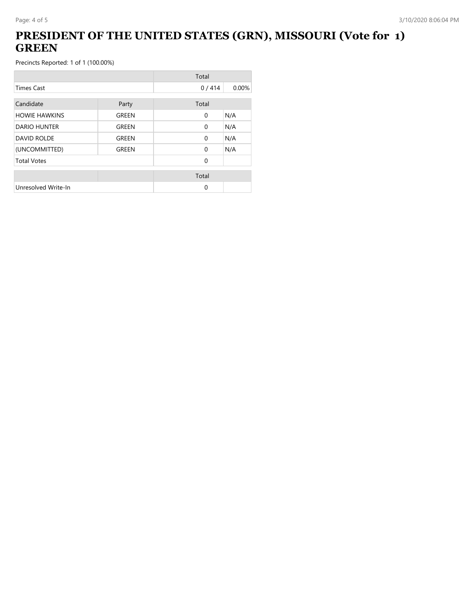## **PRESIDENT OF THE UNITED STATES (GRN), MISSOURI (Vote for 1) GREEN**

|                      |       | Total        |       |
|----------------------|-------|--------------|-------|
| <b>Times Cast</b>    |       | 0/414        | 0.00% |
| Candidate            | Party | Total        |       |
| <b>HOWIE HAWKINS</b> | GREEN | $\mathbf{0}$ | N/A   |
| DARIO HUNTER         | GREEN | $\Omega$     | N/A   |
| <b>DAVID ROLDE</b>   | GREEN | $\mathbf{0}$ | N/A   |
| (UNCOMMITTED)        | GREEN | $\Omega$     | N/A   |
| <b>Total Votes</b>   |       | $\Omega$     |       |
|                      |       | Total        |       |
| Unresolved Write-In  |       | 0            |       |